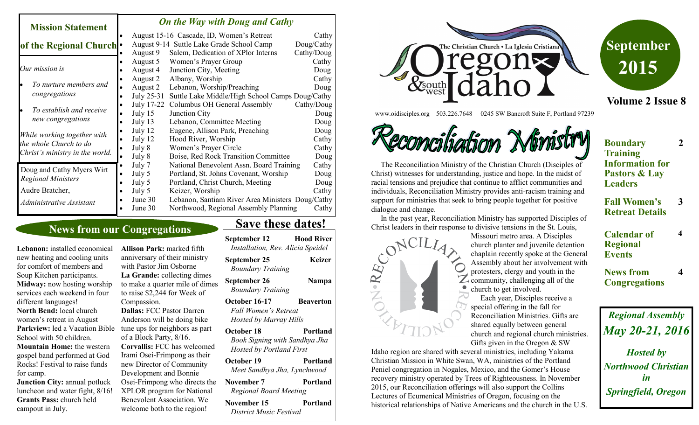#### *On the Way with Doug and Cathy*

| <b>Mission Statement</b>                                                                 |           | <b>On the Way with Doug and Cathy</b> |                                                  |            |
|------------------------------------------------------------------------------------------|-----------|---------------------------------------|--------------------------------------------------|------------|
|                                                                                          |           |                                       | August 15-16 Cascade, ID, Women's Retreat        | Cathy      |
| of the Regional Church .                                                                 |           |                                       | August 9-14 Suttle Lake Grade School Camp        | Doug/Cathy |
|                                                                                          |           | August 9                              | Salem, Dedication of XPlor Interns               | Cathy/Doug |
|                                                                                          |           | August 5                              | Women's Prayer Group                             | Cathy      |
| Our mission is                                                                           |           | August 4                              | Junction City, Meeting                           | Doug       |
|                                                                                          |           | August 2                              | Albany, Worship                                  | Cathy      |
| To nurture members and                                                                   |           | August 2                              | Lebanon, Worship/Preaching                       | Doug       |
| congregations                                                                            |           | July 25-31                            | Suttle Lake Middle/High School Camps Doug/Cathy  |            |
|                                                                                          |           | July 17-22                            | Columbus OH General Assembly                     | Cathy/Doug |
| To establish and receive                                                                 |           | July $15$                             | Junction City                                    | Doug       |
| new congregations                                                                        |           | July 13                               | Lebanon, Committee Meeting                       | Doug       |
| While working together with<br>the whole Church to do<br>Christ's ministry in the world. |           | July 12                               | Eugene, Allison Park, Preaching                  | Doug       |
|                                                                                          |           | July 12                               | Hood River, Worship                              | Cathy      |
|                                                                                          |           | July 8                                | Women's Prayer Circle                            | Cathy      |
|                                                                                          |           | July 8                                | Boise, Red Rock Transition Committee             | Doug       |
| Doug and Cathy Myers Wirt                                                                |           | July 7                                | National Benevolent Assn. Board Training         | Cathy      |
| <b>Regional Ministers</b>                                                                | $\bullet$ | July 5                                | Portland, St. Johns Covenant, Worship            | Doug       |
|                                                                                          | $\bullet$ | July 5                                | Portland, Christ Church, Meeting                 | Doug       |
| Audre Bratcher,                                                                          |           | July 5                                | Keizer, Worship                                  | Cathy      |
| Administrative Assistant                                                                 |           | June $30$                             | Lebanon, Santiam River Area Ministers Doug/Cathy |            |
|                                                                                          |           | June 30                               | Northwood, Regional Assembly Planning            | Cathy      |

### **News from our Congregations**

**Lebanon:** installed economical new heating and cooling units for comfort of members and Soup Kitchen participants. **Midway:** now hosting worship services each weekend in four different languages! **North Bend:** local church women's retreat in August Parkview: led a Vacation Bible School with 50 children. **Mountain Home:** the western gospel band performed at God Rocks! Festival to raise funds for camp. **Junction City: annual potluck** 

luncheon and water fight, 8/16! **Grants Pass:** church held campout in July.

**Allison Park:** marked fifth anniversary of their ministry with Pastor Jim Osborne **La Grande:** collecting dimes to make a quarter mile of dimes to raise \$2,244 for Week of Compassion. **Dallas:** FCC Pastor Darren Anderson will be doing bike tune ups for neighbors as part of a Block Party, 8/16. **Corvallis:** FCC has welcomed Irami Osei-Frimpong as their new Director of Community Development and Bonnie Osei-Frimpong who directs the XPLOR program for National Benevolent Association. We welcome both to the region!

## **Save these dates!**

| September 12<br>Installation, Rev. Alicia Speidel                              | <b>Hood River</b> |
|--------------------------------------------------------------------------------|-------------------|
| September 25<br><b>Boundary Training</b>                                       | Keizer            |
| September 26<br><b>Boundary Training</b>                                       | Nampa             |
| October 16-17<br>Fall Women's Retreat<br>Hosted by Murray Hills                | <b>Beaverton</b>  |
| October 18<br>Book Signing with Sandhya Jha<br><b>Hosted by Portland First</b> | <b>Portland</b>   |
| October 19<br>Meet Sandhya Jha, Lynchwood                                      | Portland          |
| November 7<br>Regional Board Meeting                                           | Portland          |
| November 15<br>District Music Festival                                         | Portland          |





www.oidisciples.org 503.226.7648 0245 SW Bancroft Suite F, Portland 97239

ecommonligationn

 The Reconciliation Ministry of the Christian Church (Disciples of Christ) witnesses for understanding, justice and hope. In the midst of racial tensions and prejudice that continue to afflict communities and individuals, Reconciliation Ministry provides anti-racism training and support for ministries that seek to bring people together for positive dialogue and change.

In the past year, Reconciliation Ministry has supported Disciples of

Christian Mission in White Swan, WA, ministries of the Portland Peniel congregation in Nogales, Mexico, and the Gomer's House recovery ministry operated by Trees of Righteousness. In November 2015, our Reconciliation offerings will also support the Collins Lectures of Ecumenical Ministries of Oregon, focusing on the

historical relationships of Native Americans and the church in the U.S.

Missouri metro area. A Disciples church planter and juvenile detention chaplain recently spoke at the General Assembly about her involvement with protesters, clergy and youth in the  $Z$  community, challenging all of the church to get involved.

 Each year, Disciples receive a special offering in the fall for Reconciliation Ministries. Gifts are shared equally between general church and regional church ministries. Gifts given in the Oregon & SW

**Boundary Training Information for Pastors & Lay Leaders**

**2**

**4**

**4**

- **Fall Women's Retreat Details 3**
- **Calendar of Regional Events**

**News from Congregations**

*Regional Assembly May 20-21, 2016 Hosted by Northwood Christian in Springfield, Oregon*